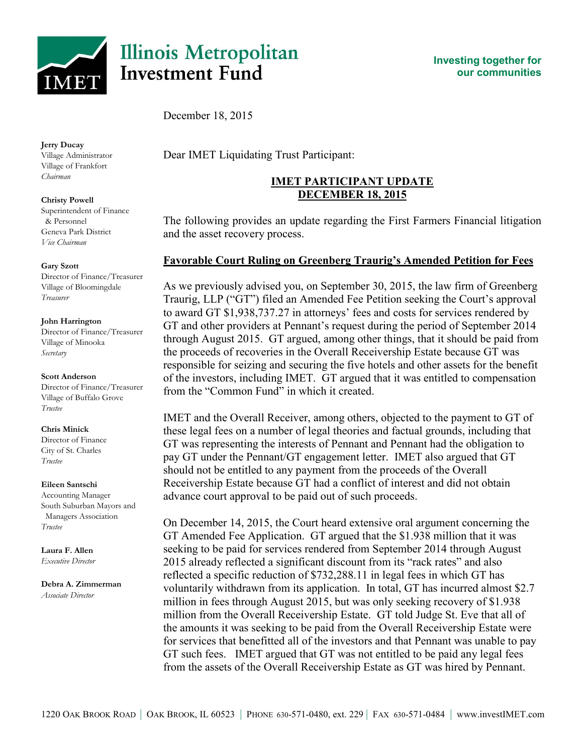

# **Illinois Metropolitan Investment Fund**

**Investing together for our communities**

December 18, 2015

#### **Jerry Ducay**

Village Administrator Village of Frankfort *Chairman*

#### **Christy Powell**

Superintendent of Finance & Personnel Geneva Park District *Vice Chairman*

#### **Gary Szott**

Director of Finance/Treasurer Village of Bloomingdale *Treasurer*

#### **John Harrington**

Director of Finance/Treasurer Village of Minooka *Secretary*

#### **Scott Anderson**

Director of Finance/Treasurer Village of Buffalo Grove *Trustee*

#### **Chris Minick**

Director of Finance City of St. Charles *Trustee*

#### **Eileen Santschi**

Accounting Manager South Suburban Mayors and Managers Association *Trustee*

**Laura F. Allen** *Executive Director*

## **Debra A. Zimmerman**

*Associate Director*

Dear IMET Liquidating Trust Participant:

## **IMET PARTICIPANT UPDATE DECEMBER 18, 2015**

The following provides an update regarding the First Farmers Financial litigation and the asset recovery process.

### **Favorable Court Ruling on Greenberg Traurig's Amended Petition for Fees**

As we previously advised you, on September 30, 2015, the law firm of Greenberg Traurig, LLP ("GT") filed an Amended Fee Petition seeking the Court's approval to award GT \$1,938,737.27 in attorneys' fees and costs for services rendered by GT and other providers at Pennant's request during the period of September 2014 through August 2015. GT argued, among other things, that it should be paid from the proceeds of recoveries in the Overall Receivership Estate because GT was responsible for seizing and securing the five hotels and other assets for the benefit of the investors, including IMET. GT argued that it was entitled to compensation from the "Common Fund" in which it created.

IMET and the Overall Receiver, among others, objected to the payment to GT of these legal fees on a number of legal theories and factual grounds, including that GT was representing the interests of Pennant and Pennant had the obligation to pay GT under the Pennant/GT engagement letter. IMET also argued that GT should not be entitled to any payment from the proceeds of the Overall Receivership Estate because GT had a conflict of interest and did not obtain advance court approval to be paid out of such proceeds.

On December 14, 2015, the Court heard extensive oral argument concerning the GT Amended Fee Application. GT argued that the \$1.938 million that it was seeking to be paid for services rendered from September 2014 through August 2015 already reflected a significant discount from its "rack rates" and also reflected a specific reduction of \$732,288.11 in legal fees in which GT has voluntarily withdrawn from its application. In total, GT has incurred almost \$2.7 million in fees through August 2015, but was only seeking recovery of \$1.938 million from the Overall Receivership Estate. GT told Judge St. Eve that all of the amounts it was seeking to be paid from the Overall Receivership Estate were for services that benefitted all of the investors and that Pennant was unable to pay GT such fees. IMET argued that GT was not entitled to be paid any legal fees from the assets of the Overall Receivership Estate as GT was hired by Pennant.